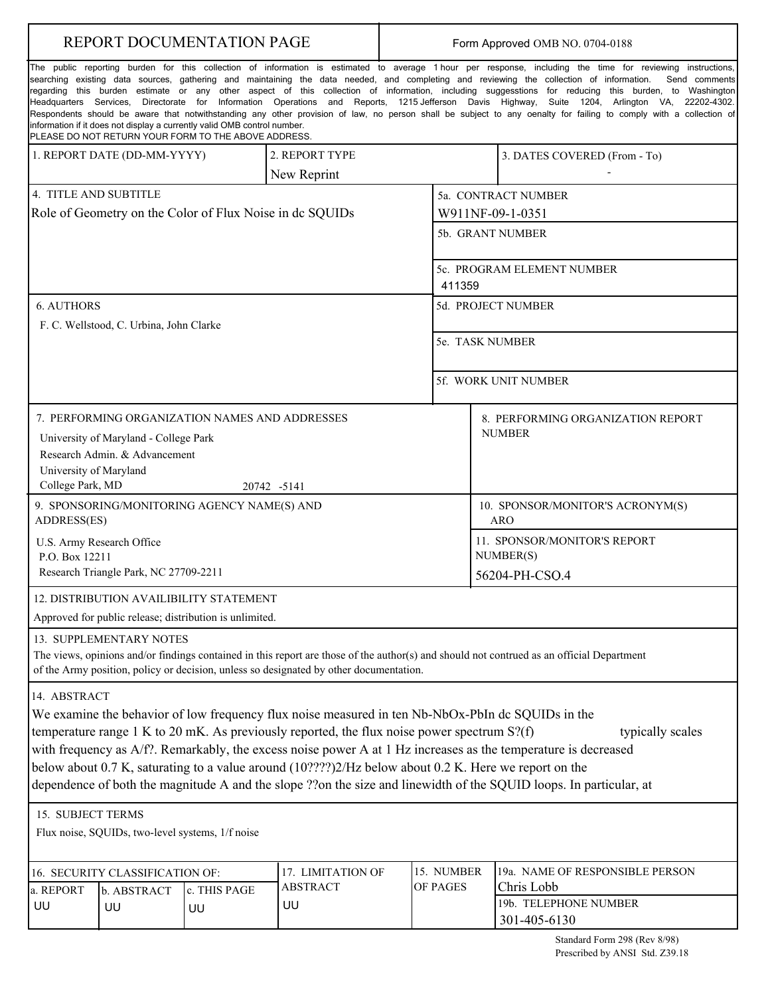|                                                                                                                                                                                                                                                                                                                                                                                                                                                                                                                                                                                                                                                                                                                                                                                                                                                                                                                                        | <b>REPORT DOCUMENTATION PAGE</b>                 |                                                          | Form Approved OMB NO. 0704-0188                                                                    |                                         |                                 |               |                                                                                                                                           |  |  |  |  |  |
|----------------------------------------------------------------------------------------------------------------------------------------------------------------------------------------------------------------------------------------------------------------------------------------------------------------------------------------------------------------------------------------------------------------------------------------------------------------------------------------------------------------------------------------------------------------------------------------------------------------------------------------------------------------------------------------------------------------------------------------------------------------------------------------------------------------------------------------------------------------------------------------------------------------------------------------|--------------------------------------------------|----------------------------------------------------------|----------------------------------------------------------------------------------------------------|-----------------------------------------|---------------------------------|---------------|-------------------------------------------------------------------------------------------------------------------------------------------|--|--|--|--|--|
| The public reporting burden for this collection of information is estimated to average 1 hour per response, including the time for reviewing instructions,<br>searching existing data sources, gathering and maintaining the data needed, and completing and reviewing the collection of information. Send comments<br>regarding this burden estimate or any other aspect of this collection of information, including suggesstions for reducing this burden, to Washington<br>Headquarters Services, Directorate for Information Operations and Reports, 1215 Jefferson Davis Highway, Suite 1204, Arlington VA, 22202-4302.<br>Respondents should be aware that notwithstanding any other provision of law, no person shall be subject to any oenalty for failing to comply with a collection of<br>information if it does not display a currently valid OMB control number.<br>PLEASE DO NOT RETURN YOUR FORM TO THE ABOVE ADDRESS. |                                                  |                                                          |                                                                                                    |                                         |                                 |               |                                                                                                                                           |  |  |  |  |  |
|                                                                                                                                                                                                                                                                                                                                                                                                                                                                                                                                                                                                                                                                                                                                                                                                                                                                                                                                        | 1. REPORT DATE (DD-MM-YYYY)                      |                                                          | 2. REPORT TYPE                                                                                     |                                         |                                 |               | 3. DATES COVERED (From - To)                                                                                                              |  |  |  |  |  |
|                                                                                                                                                                                                                                                                                                                                                                                                                                                                                                                                                                                                                                                                                                                                                                                                                                                                                                                                        |                                                  |                                                          | New Reprint                                                                                        |                                         |                                 |               |                                                                                                                                           |  |  |  |  |  |
| 4. TITLE AND SUBTITLE                                                                                                                                                                                                                                                                                                                                                                                                                                                                                                                                                                                                                                                                                                                                                                                                                                                                                                                  |                                                  |                                                          |                                                                                                    |                                         | 5a. CONTRACT NUMBER             |               |                                                                                                                                           |  |  |  |  |  |
|                                                                                                                                                                                                                                                                                                                                                                                                                                                                                                                                                                                                                                                                                                                                                                                                                                                                                                                                        |                                                  | Role of Geometry on the Color of Flux Noise in de SQUIDs |                                                                                                    |                                         | W911NF-09-1-0351                |               |                                                                                                                                           |  |  |  |  |  |
|                                                                                                                                                                                                                                                                                                                                                                                                                                                                                                                                                                                                                                                                                                                                                                                                                                                                                                                                        |                                                  |                                                          |                                                                                                    | 5b. GRANT NUMBER                        |                                 |               |                                                                                                                                           |  |  |  |  |  |
|                                                                                                                                                                                                                                                                                                                                                                                                                                                                                                                                                                                                                                                                                                                                                                                                                                                                                                                                        |                                                  |                                                          |                                                                                                    |                                         |                                 |               |                                                                                                                                           |  |  |  |  |  |
|                                                                                                                                                                                                                                                                                                                                                                                                                                                                                                                                                                                                                                                                                                                                                                                                                                                                                                                                        |                                                  |                                                          |                                                                                                    | 5c. PROGRAM ELEMENT NUMBER              |                                 |               |                                                                                                                                           |  |  |  |  |  |
|                                                                                                                                                                                                                                                                                                                                                                                                                                                                                                                                                                                                                                                                                                                                                                                                                                                                                                                                        |                                                  |                                                          |                                                                                                    | 411359                                  |                                 |               |                                                                                                                                           |  |  |  |  |  |
| <b>6. AUTHORS</b>                                                                                                                                                                                                                                                                                                                                                                                                                                                                                                                                                                                                                                                                                                                                                                                                                                                                                                                      |                                                  |                                                          |                                                                                                    | 5d. PROJECT NUMBER                      |                                 |               |                                                                                                                                           |  |  |  |  |  |
|                                                                                                                                                                                                                                                                                                                                                                                                                                                                                                                                                                                                                                                                                                                                                                                                                                                                                                                                        | F. C. Wellstood, C. Urbina, John Clarke          |                                                          |                                                                                                    |                                         |                                 |               |                                                                                                                                           |  |  |  |  |  |
|                                                                                                                                                                                                                                                                                                                                                                                                                                                                                                                                                                                                                                                                                                                                                                                                                                                                                                                                        |                                                  |                                                          |                                                                                                    |                                         |                                 |               | 5e. TASK NUMBER                                                                                                                           |  |  |  |  |  |
|                                                                                                                                                                                                                                                                                                                                                                                                                                                                                                                                                                                                                                                                                                                                                                                                                                                                                                                                        |                                                  |                                                          |                                                                                                    |                                         |                                 |               |                                                                                                                                           |  |  |  |  |  |
|                                                                                                                                                                                                                                                                                                                                                                                                                                                                                                                                                                                                                                                                                                                                                                                                                                                                                                                                        |                                                  |                                                          |                                                                                                    | 5f. WORK UNIT NUMBER                    |                                 |               |                                                                                                                                           |  |  |  |  |  |
| 7. PERFORMING ORGANIZATION NAMES AND ADDRESSES                                                                                                                                                                                                                                                                                                                                                                                                                                                                                                                                                                                                                                                                                                                                                                                                                                                                                         | 8. PERFORMING ORGANIZATION REPORT                |                                                          |                                                                                                    |                                         |                                 |               |                                                                                                                                           |  |  |  |  |  |
|                                                                                                                                                                                                                                                                                                                                                                                                                                                                                                                                                                                                                                                                                                                                                                                                                                                                                                                                        | University of Maryland - College Park            |                                                          |                                                                                                    |                                         |                                 | <b>NUMBER</b> |                                                                                                                                           |  |  |  |  |  |
|                                                                                                                                                                                                                                                                                                                                                                                                                                                                                                                                                                                                                                                                                                                                                                                                                                                                                                                                        | Research Admin. & Advancement                    |                                                          |                                                                                                    |                                         |                                 |               |                                                                                                                                           |  |  |  |  |  |
| University of Maryland<br>College Park, MD                                                                                                                                                                                                                                                                                                                                                                                                                                                                                                                                                                                                                                                                                                                                                                                                                                                                                             |                                                  |                                                          | 20742 -5141                                                                                        |                                         |                                 |               |                                                                                                                                           |  |  |  |  |  |
|                                                                                                                                                                                                                                                                                                                                                                                                                                                                                                                                                                                                                                                                                                                                                                                                                                                                                                                                        |                                                  | 9. SPONSORING/MONITORING AGENCY NAME(S) AND              |                                                                                                    |                                         |                                 |               |                                                                                                                                           |  |  |  |  |  |
| ADDRESS(ES)                                                                                                                                                                                                                                                                                                                                                                                                                                                                                                                                                                                                                                                                                                                                                                                                                                                                                                                            |                                                  |                                                          |                                                                                                    | 10. SPONSOR/MONITOR'S ACRONYM(S)<br>ARO |                                 |               |                                                                                                                                           |  |  |  |  |  |
| U.S. Army Research Office                                                                                                                                                                                                                                                                                                                                                                                                                                                                                                                                                                                                                                                                                                                                                                                                                                                                                                              |                                                  |                                                          |                                                                                                    | 11. SPONSOR/MONITOR'S REPORT            |                                 |               |                                                                                                                                           |  |  |  |  |  |
| P.O. Box 12211                                                                                                                                                                                                                                                                                                                                                                                                                                                                                                                                                                                                                                                                                                                                                                                                                                                                                                                         |                                                  |                                                          |                                                                                                    |                                         | NUMBER(S)                       |               |                                                                                                                                           |  |  |  |  |  |
|                                                                                                                                                                                                                                                                                                                                                                                                                                                                                                                                                                                                                                                                                                                                                                                                                                                                                                                                        | Research Triangle Park, NC 27709-2211            |                                                          |                                                                                                    | 56204-PH-CSO.4                          |                                 |               |                                                                                                                                           |  |  |  |  |  |
|                                                                                                                                                                                                                                                                                                                                                                                                                                                                                                                                                                                                                                                                                                                                                                                                                                                                                                                                        |                                                  | 12. DISTRIBUTION AVAILIBILITY STATEMENT                  |                                                                                                    |                                         |                                 |               |                                                                                                                                           |  |  |  |  |  |
|                                                                                                                                                                                                                                                                                                                                                                                                                                                                                                                                                                                                                                                                                                                                                                                                                                                                                                                                        |                                                  | Approved for public release; distribution is unlimited.  |                                                                                                    |                                         |                                 |               |                                                                                                                                           |  |  |  |  |  |
|                                                                                                                                                                                                                                                                                                                                                                                                                                                                                                                                                                                                                                                                                                                                                                                                                                                                                                                                        | 13. SUPPLEMENTARY NOTES                          |                                                          |                                                                                                    |                                         |                                 |               |                                                                                                                                           |  |  |  |  |  |
|                                                                                                                                                                                                                                                                                                                                                                                                                                                                                                                                                                                                                                                                                                                                                                                                                                                                                                                                        |                                                  |                                                          |                                                                                                    |                                         |                                 |               | The views, opinions and/or findings contained in this report are those of the author(s) and should not contrued as an official Department |  |  |  |  |  |
|                                                                                                                                                                                                                                                                                                                                                                                                                                                                                                                                                                                                                                                                                                                                                                                                                                                                                                                                        |                                                  |                                                          | of the Army position, policy or decision, unless so designated by other documentation.             |                                         |                                 |               |                                                                                                                                           |  |  |  |  |  |
| 14. ABSTRACT                                                                                                                                                                                                                                                                                                                                                                                                                                                                                                                                                                                                                                                                                                                                                                                                                                                                                                                           |                                                  |                                                          |                                                                                                    |                                         |                                 |               |                                                                                                                                           |  |  |  |  |  |
|                                                                                                                                                                                                                                                                                                                                                                                                                                                                                                                                                                                                                                                                                                                                                                                                                                                                                                                                        |                                                  |                                                          | We examine the behavior of low frequency flux noise measured in ten Nb-NbOx-PbIn dc SQUIDs in the  |                                         |                                 |               |                                                                                                                                           |  |  |  |  |  |
|                                                                                                                                                                                                                                                                                                                                                                                                                                                                                                                                                                                                                                                                                                                                                                                                                                                                                                                                        |                                                  |                                                          | temperature range $1 K$ to $20 mK$ . As previously reported, the flux noise power spectrum $S'(f)$ |                                         |                                 |               | typically scales                                                                                                                          |  |  |  |  |  |
| with frequency as A/f?. Remarkably, the excess noise power A at 1 Hz increases as the temperature is decreased                                                                                                                                                                                                                                                                                                                                                                                                                                                                                                                                                                                                                                                                                                                                                                                                                         |                                                  |                                                          |                                                                                                    |                                         |                                 |               |                                                                                                                                           |  |  |  |  |  |
| below about 0.7 K, saturating to a value around (10????)2/Hz below about 0.2 K. Here we report on the                                                                                                                                                                                                                                                                                                                                                                                                                                                                                                                                                                                                                                                                                                                                                                                                                                  |                                                  |                                                          |                                                                                                    |                                         |                                 |               |                                                                                                                                           |  |  |  |  |  |
|                                                                                                                                                                                                                                                                                                                                                                                                                                                                                                                                                                                                                                                                                                                                                                                                                                                                                                                                        |                                                  |                                                          |                                                                                                    |                                         |                                 |               | dependence of both the magnitude A and the slope ??on the size and linewidth of the SQUID loops. In particular, at                        |  |  |  |  |  |
| 15. SUBJECT TERMS                                                                                                                                                                                                                                                                                                                                                                                                                                                                                                                                                                                                                                                                                                                                                                                                                                                                                                                      |                                                  |                                                          |                                                                                                    |                                         |                                 |               |                                                                                                                                           |  |  |  |  |  |
|                                                                                                                                                                                                                                                                                                                                                                                                                                                                                                                                                                                                                                                                                                                                                                                                                                                                                                                                        | Flux noise, SQUIDs, two-level systems, 1/f noise |                                                          |                                                                                                    |                                         |                                 |               |                                                                                                                                           |  |  |  |  |  |
|                                                                                                                                                                                                                                                                                                                                                                                                                                                                                                                                                                                                                                                                                                                                                                                                                                                                                                                                        |                                                  |                                                          |                                                                                                    |                                         |                                 |               |                                                                                                                                           |  |  |  |  |  |
| 16. SECURITY CLASSIFICATION OF:                                                                                                                                                                                                                                                                                                                                                                                                                                                                                                                                                                                                                                                                                                                                                                                                                                                                                                        |                                                  | 17. LIMITATION OF                                        |                                                                                                    | 15. NUMBER                              | 19a. NAME OF RESPONSIBLE PERSON |               |                                                                                                                                           |  |  |  |  |  |
| a. REPORT                                                                                                                                                                                                                                                                                                                                                                                                                                                                                                                                                                                                                                                                                                                                                                                                                                                                                                                              | b. ABSTRACT                                      | c. THIS PAGE                                             | <b>ABSTRACT</b>                                                                                    |                                         | OF PAGES                        | Chris Lobb    |                                                                                                                                           |  |  |  |  |  |
| UU                                                                                                                                                                                                                                                                                                                                                                                                                                                                                                                                                                                                                                                                                                                                                                                                                                                                                                                                     | UU                                               | UU                                                       | UU                                                                                                 |                                         |                                 |               | 19b. TELEPHONE NUMBER                                                                                                                     |  |  |  |  |  |
|                                                                                                                                                                                                                                                                                                                                                                                                                                                                                                                                                                                                                                                                                                                                                                                                                                                                                                                                        |                                                  |                                                          |                                                                                                    |                                         |                                 |               | 301-405-6130                                                                                                                              |  |  |  |  |  |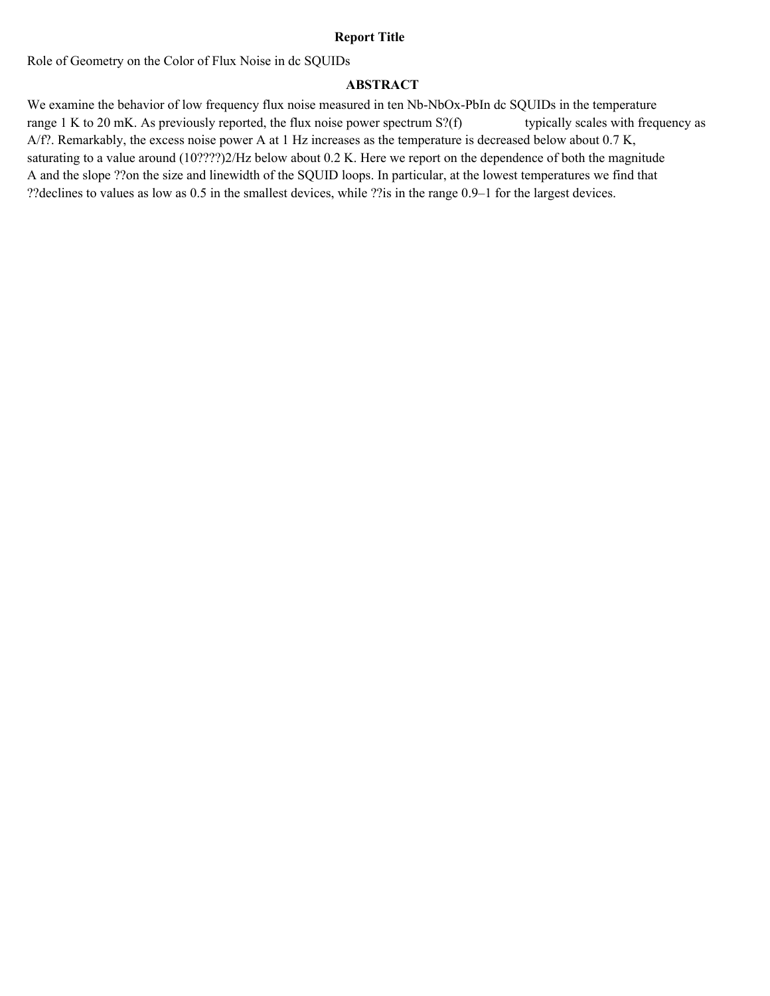# **Report Title**

Role of Geometry on the Color of Flux Noise in dc SQUIDs

# **ABSTRACT**

We examine the behavior of low frequency flux noise measured in ten Nb-NbOx-PbIn dc SQUIDs in the temperature range 1 K to 20 mK. As previously reported, the flux noise power spectrum S?(f) typically scales with frequency as A/f?. Remarkably, the excess noise power A at 1 Hz increases as the temperature is decreased below about 0.7 K, saturating to a value around (10????)2/Hz below about 0.2 K. Here we report on the dependence of both the magnitude A and the slope ??on the size and linewidth of the SQUID loops. In particular, at the lowest temperatures we find that ??declines to values as low as 0.5 in the smallest devices, while ??is in the range 0.9–1 for the largest devices.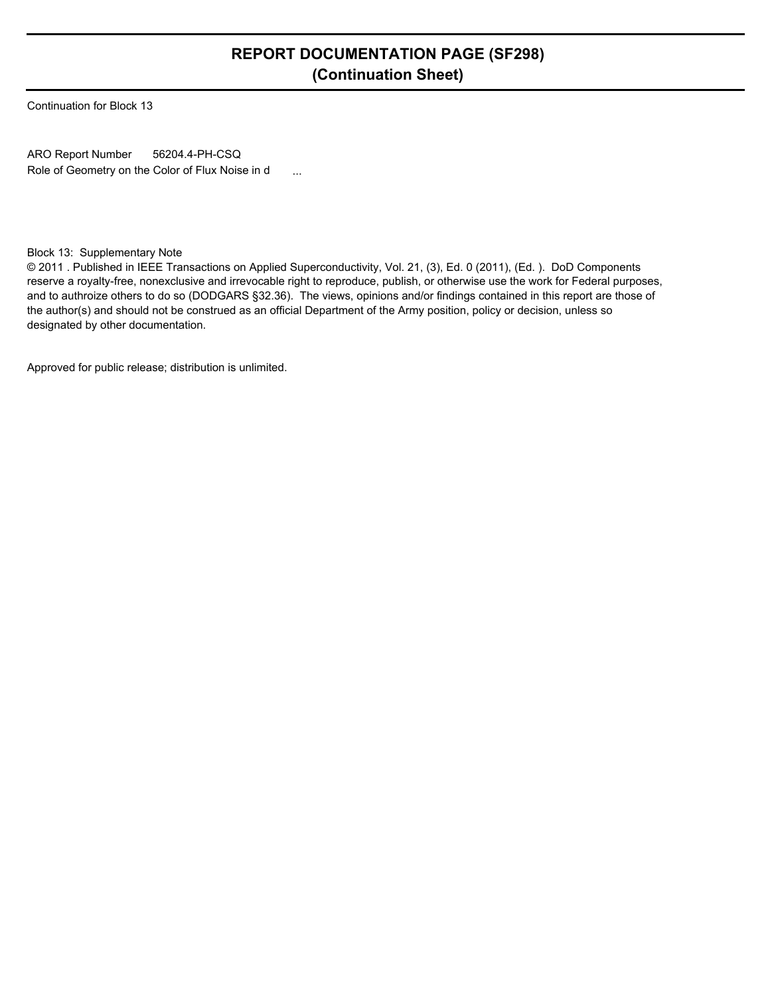# **REPORT DOCUMENTATION PAGE (SF298) (Continuation Sheet)**

Continuation for Block 13

ARO Report Number Role of Geometry on the Color of Flux Noise in d ... 56204.4-PH-CSQ

# Block 13: Supplementary Note

© 2011 . Published in IEEE Transactions on Applied Superconductivity, Vol. 21, (3), Ed. 0 (2011), (Ed. ). DoD Components reserve a royalty-free, nonexclusive and irrevocable right to reproduce, publish, or otherwise use the work for Federal purposes, and to authroize others to do so (DODGARS §32.36). The views, opinions and/or findings contained in this report are those of the author(s) and should not be construed as an official Department of the Army position, policy or decision, unless so designated by other documentation.

Approved for public release; distribution is unlimited.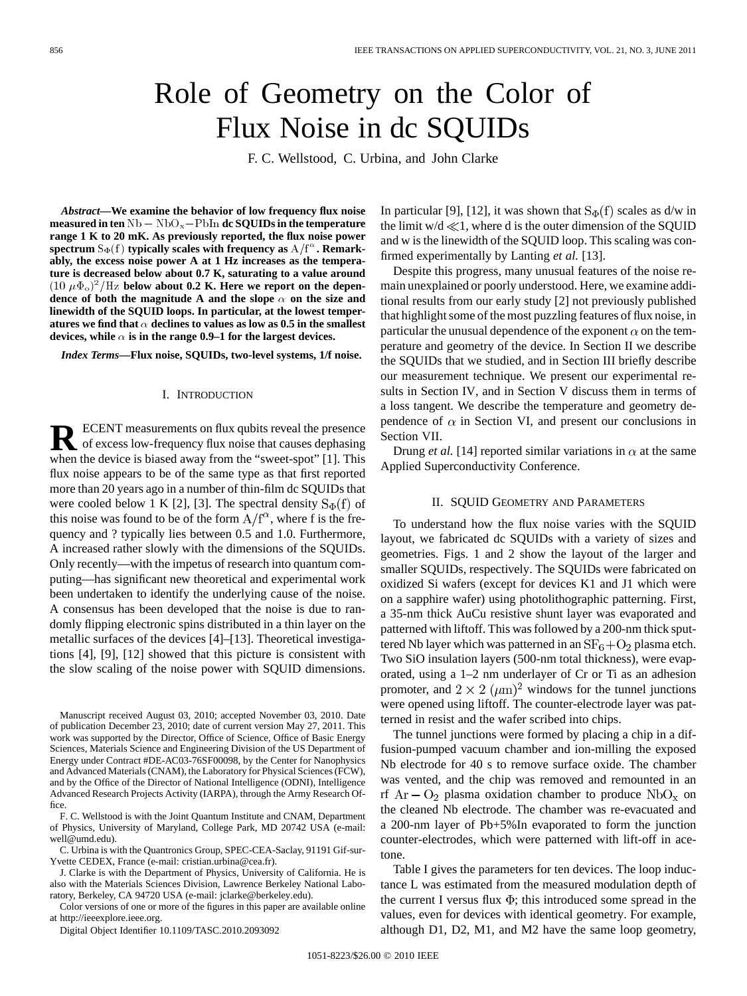# Role of Geometry on the Color of Flux Noise in dc SQUIDs

F. C. Wellstood, C. Urbina, and John Clarke

*Abstract—***We examine the behavior of low frequency flux noise** *Abstract***—We examine the behavior of low frequency flux noise measured in ten**  $Nb - NbO_x - PbIn$  **dc SQUIDs in the temperature range 1 K to 20 mK. As previously reported, the flux noise power** spectrum  $S_{\Phi}(f)$  typically scales with frequency as  $A/f^{\alpha}$ . Remark**ably, the excess noise power A at 1 Hz increases as the temperature is decreased below about 0.7 K, saturating to a value around**  $(10 \ \mu\Phi_0)^2 / \text{Hz}$  below about 0.2 K. Here we report on the depen**dence of both the magnitude A and the slope**  $\alpha$  on the size and **linewidth of the SQUID loops. In particular, at the lowest temper**atures we find that  $\alpha$  declines to values as low as 0.5 in the smallest devices, while  $\alpha$  is in the range 0.9–1 for the largest devices.

*Index Terms—***Flux noise, SQUIDs, two-level systems, 1/f noise.**

## I. INTRODUCTION

**R** ECENT measurements on flux qubits reveal the presence of excess low-frequency flux noise that causes dephasing when the device is biased away from the "sweet-spot" [1]. This flux noise appears to be of the same type as that first reported more than 20 years ago in a number of thin-film dc SQUIDs that were cooled below 1 K [2], [3]. The spectral density  $S_{\Phi}(f)$  of this noise was found to be of the form  $A/f^{\alpha}$ , where f is the frequency and ? typically lies between 0.5 and 1.0. Furthermore, A increased rather slowly with the dimensions of the SQUIDs. Only recently—with the impetus of research into quantum computing—has significant new theoretical and experimental work been undertaken to identify the underlying cause of the noise. A consensus has been developed that the noise is due to randomly flipping electronic spins distributed in a thin layer on the metallic surfaces of the devices [4]–[13]. Theoretical investigations [4], [9], [12] showed that this picture is consistent with the slow scaling of the noise power with SQUID dimensions.

Manuscript received August 03, 2010; accepted November 03, 2010. Date of publication December 23, 2010; date of current version May 27, 2011. This work was supported by the Director, Office of Science, Office of Basic Energy Sciences, Materials Science and Engineering Division of the US Department of Energy under Contract #DE-AC03-76SF00098, by the Center for Nanophysics and Advanced Materials (CNAM), the Laboratory for Physical Sciences (FCW), and by the Office of the Director of National Intelligence (ODNI), Intelligence Advanced Research Projects Activity (IARPA), through the Army Research Office.

F. C. Wellstood is with the Joint Quantum Institute and CNAM, Department of Physics, University of Maryland, College Park, MD 20742 USA (e-mail: well@umd.edu).

C. Urbina is with the Quantronics Group, SPEC-CEA-Saclay, 91191 Gif-sur-Yvette CEDEX, France (e-mail: cristian.urbina@cea.fr).

J. Clarke is with the Department of Physics, University of California. He is also with the Materials Sciences Division, Lawrence Berkeley National Laboratory, Berkeley, CA 94720 USA (e-mail: jclarke@berkeley.edu).

Color versions of one or more of the figures in this paper are available online at http://ieeexplore.ieee.org.

Digital Object Identifier 10.1109/TASC.2010.2093092

In particular [9], [12], it was shown that  $S_{\Phi}(f)$  scales as d/w in the limit  $w/d \ll 1$ , where d is the outer dimension of the SQUID and w is the linewidth of the SQUID loop. This scaling was confirmed experimentally by Lanting *et al.* [13].

Despite this progress, many unusual features of the noise remain unexplained or poorly understood. Here, we examine additional results from our early study [2] not previously published that highlight some of the most puzzling features of flux noise, in particular the unusual dependence of the exponent  $\alpha$  on the temperature and geometry of the device. In Section II we describe the SQUIDs that we studied, and in Section III briefly describe our measurement technique. We present our experimental results in Section IV, and in Section V discuss them in terms of a loss tangent. We describe the temperature and geometry dependence of  $\alpha$  in Section VI, and present our conclusions in Section VII.

Drung *et al.* [14] reported similar variations in  $\alpha$  at the same Applied Superconductivity Conference.

# II. SQUID GEOMETRY AND PARAMETERS

To understand how the flux noise varies with the SQUID layout, we fabricated dc SQUIDs with a variety of sizes and geometries. Figs. 1 and 2 show the layout of the larger and smaller SQUIDs, respectively. The SQUIDs were fabricated on oxidized Si wafers (except for devices K1 and J1 which were on a sapphire wafer) using photolithographic patterning. First, a 35-nm thick AuCu resistive shunt layer was evaporated and patterned with liftoff. This was followed by a 200-nm thick sputtered Nb layer which was patterned in an  $SF_6 + O_2$  plasma etch. Two SiO insulation layers (500-nm total thickness), were evaporated, using a 1–2 nm underlayer of Cr or Ti as an adhesion promoter, and  $2 \times 2$  ( $\mu$ m)<sup>2</sup> windows for the tunnel junctions were opened using liftoff. The counter-electrode layer was patterned in resist and the wafer scribed into chips.

The tunnel junctions were formed by placing a chip in a diffusion-pumped vacuum chamber and ion-milling the exposed Nb electrode for 40 s to remove surface oxide. The chamber was vented, and the chip was removed and remounted in an rf  $Ar - O_2$  plasma oxidation chamber to produce  $NbO_x$  on the cleaned Nb electrode. The chamber was re-evacuated and a 200-nm layer of Pb+5%In evaporated to form the junction counter-electrodes, which were patterned with lift-off in acetone.

Table I gives the parameters for ten devices. The loop inductance L was estimated from the measured modulation depth of the current I versus flux  $\Phi$ ; this introduced some spread in the values, even for devices with identical geometry. For example, although D1, D2, M1, and M2 have the same loop geometry,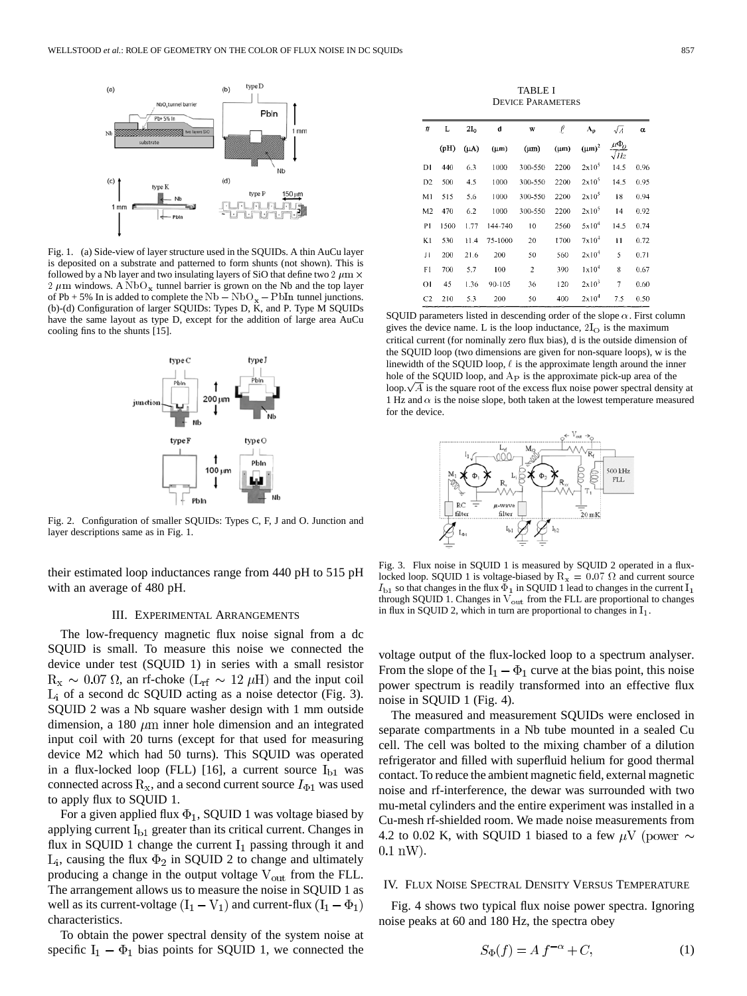

Fig. 1. (a) Side-view of layer structure used in the SQUIDs. A thin AuCu layer is deposited on a substrate and patterned to form shunts (not shown). This is followed by a Nb layer and two insulating layers of SiO that define two 2  $\mu$ m  $\times$ 2  $\mu$ m windows. A NbO<sub>x</sub> tunnel barrier is grown on the Nb and the top layer of Pb + 5% In is added to complete the  $Nb - Nb - PbIn$  tunnel junctions. (b)-(d) Configuration of larger SQUIDs: Types D, K, and P. Type M SQUIDs have the same layout as type D, except for the addition of large area AuCu cooling fins to the shunts [15].



Fig. 2. Configuration of smaller SQUIDs: Types C, F, J and O. Junction and layer descriptions same as in Fig. 1.

their estimated loop inductances range from 440 pH to 515 pH with an average of 480 pH.

#### III. EXPERIMENTAL ARRANGEMENTS

The low-frequency magnetic flux noise signal from a dc SQUID is small. To measure this noise we connected the device under test (SQUID 1) in series with a small resistor  $R_x \sim 0.07 \Omega$ , an rf-choke  $(L_{rf} \sim 12 \mu H)$  and the input coil  $L_i$  of a second dc SQUID acting as a noise detector (Fig. 3). SQUID 2 was a Nb square washer design with 1 mm outside dimension, a 180  $\mu$ m inner hole dimension and an integrated input coil with 20 turns (except for that used for measuring device M2 which had 50 turns). This SQUID was operated in a flux-locked loop (FLL) [16], a current source  $I_{b1}$  was connected across  $R_x$ , and a second current source  $I_{\Phi 1}$  was used to apply flux to SQUID 1.

For a given applied flux  $\Phi_1$ , SQUID 1 was voltage biased by applying current  $I_{b1}$  greater than its critical current. Changes in flux in SQUID 1 change the current  $I_1$  passing through it and  $L_i$ , causing the flux  $\Phi_2$  in SQUID 2 to change and ultimately producing a change in the output voltage  $V_{\text{out}}$  from the FLL. The arrangement allows us to measure the noise in SQUID 1 as well as its current-voltage  $(I_1 - V_1)$  and current-flux  $(I_1 - \Phi_1)$ characteristics.

To obtain the power spectral density of the system noise at specific  $I_1 - \Phi_1$  bias points for SQUID 1, we connected the

TABLE I DEVICE PARAMETERS

| #              | L    | $2I_0$    | d         | w              | £         | $\Lambda_{\rm p}$ | $\sqrt{A}$                                 | $\alpha$ |
|----------------|------|-----------|-----------|----------------|-----------|-------------------|--------------------------------------------|----------|
|                | (pH) | $(\mu A)$ | $(\mu m)$ | $(\mu m)$      | $(\mu m)$ | $(\mu m)^2$       | $\frac{\mu \Phi_0}{\sigma}$<br>$\sqrt{Hz}$ |          |
| D1             | 440  | 6.3       | 1000      | 300-550        | 2200      | 2x10 <sup>5</sup> | 14.5                                       | 0.96     |
| D <sub>2</sub> | 500  | 4.5       | 1000      | 300-550        | 2200      | 2x10 <sup>5</sup> | 14.5                                       | 0.95     |
| M1             | 515  | 5.6       | 1000      | 300-550        | 2200      | 2x10 <sup>5</sup> | 18                                         | 0.94     |
| M <sub>2</sub> | 470  | 6.2       | 1000      | 300-550        | 2200      | 2x10 <sup>5</sup> | 14                                         | 0.92     |
| PI             | 1500 | 1.77      | 144-740   | 10             | 2560      | $5x10^4$          | 14.5                                       | 0.74     |
| K1             | 530  | 11.4      | 75-1000   | 20             | 1700      | $7x10^4$          | $\mathbf{1}$                               | 0.72     |
| ЛI             | 200  | 21.6      | 200       | 50             | 560       | $2 \times 10^4$   | 5                                          | 0.71     |
| F1             | 700  | 5.7       | 100       | $\overline{c}$ | 390       | 1x10 <sup>4</sup> | 8                                          | 0.67     |
| ΟI             | 45   | 1.36      | 90-105    | 36             | 120       | $2x10^3$          | 7                                          | 0.60     |
| C <sub>2</sub> | 210  | 5.3       | 200       | 50             | 400       | 2x10 <sup>4</sup> | 7.5                                        | 0.50     |

SQUID parameters listed in descending order of the slope  $\alpha$ . First column gives the device name. L is the loop inductance,  $2I<sub>O</sub>$  is the maximum critical current (for nominally zero flux bias), d is the outside dimension of the SQUID loop (two dimensions are given for non-square loops), w is the linewidth of the SQUID loop,  $\ell$  is the approximate length around the inner hole of the SQUID loop, and  $A<sub>P</sub>$  is the approximate pick-up area of the loop.  $\sqrt{A}$  is the square root of the excess flux noise power spectral density at 1 Hz and  $\alpha$  is the noise slope, both taken at the lowest temperature measured for the device.



Fig. 3. Flux noise in SQUID 1 is measured by SQUID 2 operated in a fluxlocked loop. SQUID 1 is voltage-biased by  $R_x = 0.07 \Omega$  and current source  $I_{b1}$  so that changes in the flux  $\bar{\Phi}_1$  in SQUID 1 lead to changes in the current  $I_1$ through SQUID 1. Changes in  $V_{\text{out}}$  from the FLL are proportional to changes in flux in SQUID 2, which in turn are proportional to changes in  $I_1$ .

voltage output of the flux-locked loop to a spectrum analyser. From the slope of the  $I_1 - \Phi_1$  curve at the bias point, this noise power spectrum is readily transformed into an effective flux noise in SQUID 1 (Fig. 4).

The measured and measurement SQUIDs were enclosed in separate compartments in a Nb tube mounted in a sealed Cu cell. The cell was bolted to the mixing chamber of a dilution refrigerator and filled with superfluid helium for good thermal contact. To reduce the ambient magnetic field, external magnetic noise and rf-interference, the dewar was surrounded with two mu-metal cylinders and the entire experiment was installed in a Cu-mesh rf-shielded room. We made noise measurements from 4.2 to 0.02 K, with SQUID 1 biased to a few  $\mu$ V (power  $\sim$  $0.1 \text{ nW}$ ).

#### IV. FLUX NOISE SPECTRAL DENSITY VERSUS TEMPERATURE

Fig. 4 shows two typical flux noise power spectra. Ignoring noise peaks at 60 and 180 Hz, the spectra obey

$$
S_{\Phi}(f) = A f^{-\alpha} + C,\tag{1}
$$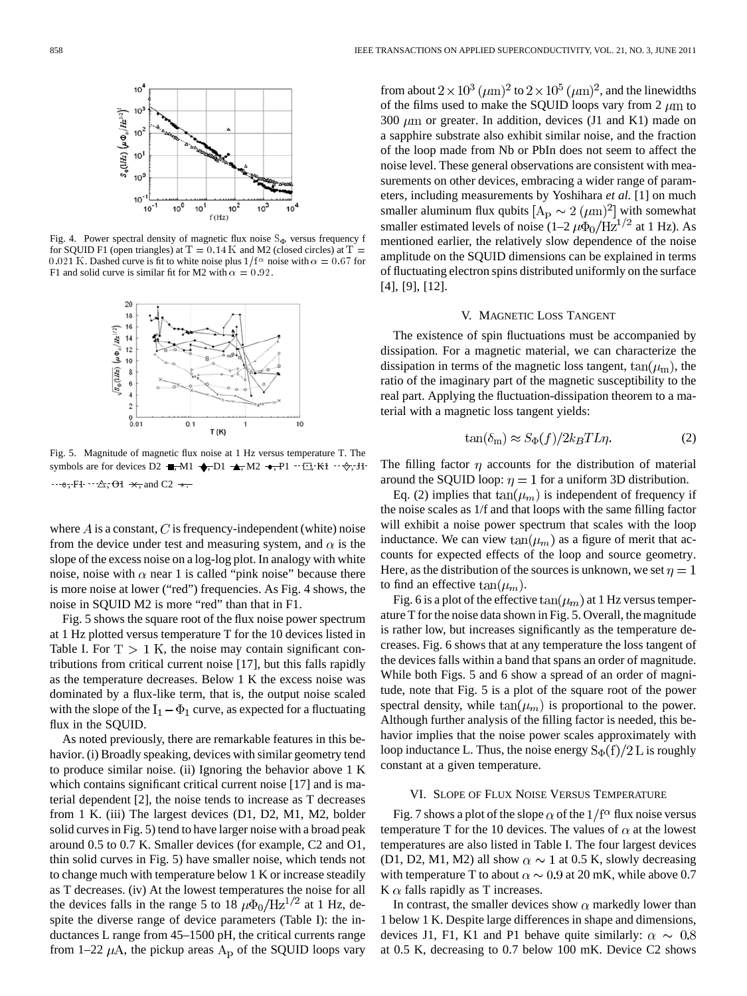

Fig. 4. Power spectral density of magnetic flux noise  $S_{\Phi}$  versus frequency f for SQUID F1 (open triangles) at  $T = 0.14$  K and M2 (closed circles) at  $T =$ 0.021 K. Dashed curve is fit to white noise plus  $1/f^{\alpha}$  noise with  $\alpha = 0.67$  for F1 and solid curve is similar fit for M2 with  $\alpha = 0.92$ .



Fig. 5. Magnitude of magnetic flux noise at 1 Hz versus temperature T. The symbols are for devices D2  $\blacksquare, M1 \blacklozenge, D1 \blacktriangle, M2 \blacktriangleright, P1 \cdots \square, K1 \cdots \lozenge, J1$  $\cdots$  o, F1  $\cdots$   $\triangle$ , O1  $\star$ , and C2  $\star$ .

where  $\vec{A}$  is a constant,  $\vec{C}$  is frequency-independent (white) noise from the device under test and measuring system, and  $\alpha$  is the slope of the excess noise on a log-log plot. In analogy with white noise, noise with  $\alpha$  near 1 is called "pink noise" because there is more noise at lower ("red") frequencies. As Fig. 4 shows, the noise in SQUID M2 is more "red" than that in F1.

Fig. 5 shows the square root of the flux noise power spectrum at 1 Hz plotted versus temperature T for the 10 devices listed in Table I. For  $T > 1$  K, the noise may contain significant contributions from critical current noise [17], but this falls rapidly as the temperature decreases. Below 1 K the excess noise was dominated by a flux-like term, that is, the output noise scaled with the slope of the  $I_1 - \Phi_1$  curve, as expected for a fluctuating flux in the SQUID.

As noted previously, there are remarkable features in this behavior. (i) Broadly speaking, devices with similar geometry tend to produce similar noise. (ii) Ignoring the behavior above 1 K which contains significant critical current noise [17] and is material dependent [2], the noise tends to increase as T decreases from 1 K. (iii) The largest devices (D1, D2, M1, M2, bolder solid curves in Fig. 5) tend to have larger noise with a broad peak around 0.5 to 0.7 K. Smaller devices (for example, C2 and O1, thin solid curves in Fig. 5) have smaller noise, which tends not to change much with temperature below 1 K or increase steadily as T decreases. (iv) At the lowest temperatures the noise for all the devices falls in the range 5 to 18  $\mu \Phi_0 / Hz^{1/2}$  at 1 Hz, despite the diverse range of device parameters (Table I): the inductances L range from 45–1500 pH, the critical currents range from 1–22  $\mu$ A, the pickup areas  $A_{\rm p}$  of the SQUID loops vary

from about  $2 \times 10^3 \, (\mu m)^2$  to  $2 \times 10^5 \, (\mu m)^2$ , and the linewidths of the films used to make the SQUID loops vary from 2  $\mu$ m to 300  $\mu$ m or greater. In addition, devices (J1 and K1) made on a sapphire substrate also exhibit similar noise, and the fraction of the loop made from Nb or PbIn does not seem to affect the noise level. These general observations are consistent with measurements on other devices, embracing a wider range of parameters, including measurements by Yoshihara *et al.* [1] on much smaller aluminum flux qubits  $[A_D \sim 2~(\mu m)^2]$  with somewhat smaller estimated levels of noise  $(1-2 \mu \Phi_0 / Hz^{1/2}$  at 1 Hz). As mentioned earlier, the relatively slow dependence of the noise amplitude on the SQUID dimensions can be explained in terms of fluctuating electron spins distributed uniformly on the surface [4], [9], [12].

## V. MAGNETIC LOSS TANGENT

The existence of spin fluctuations must be accompanied by dissipation. For a magnetic material, we can characterize the dissipation in terms of the magnetic loss tangent,  $tan(\mu_m)$ , the ratio of the imaginary part of the magnetic susceptibility to the real part. Applying the fluctuation-dissipation theorem to a material with a magnetic loss tangent yields:

$$
\tan(\delta_{\rm m}) \approx S_{\Phi}(f)/2k_B T L \eta. \tag{2}
$$

The filling factor  $\eta$  accounts for the distribution of material around the SQUID loop:  $\eta = 1$  for a uniform 3D distribution.

Eq. (2) implies that  $tan(\mu_m)$  is independent of frequency if the noise scales as 1/f and that loops with the same filling factor will exhibit a noise power spectrum that scales with the loop inductance. We can view  $tan(\mu_m)$  as a figure of merit that accounts for expected effects of the loop and source geometry. Here, as the distribution of the sources is unknown, we set  $\eta = 1$ to find an effective  $tan(\mu_m)$ .

Fig. 6 is a plot of the effective  $\tan(\mu_m)$  at 1 Hz versus temperature T for the noise data shown in Fig. 5. Overall, the magnitude is rather low, but increases significantly as the temperature decreases. Fig. 6 shows that at any temperature the loss tangent of the devices falls within a band that spans an order of magnitude. While both Figs. 5 and 6 show a spread of an order of magnitude, note that Fig. 5 is a plot of the square root of the power spectral density, while  $tan(\mu_m)$  is proportional to the power. Although further analysis of the filling factor is needed, this behavior implies that the noise power scales approximately with loop inductance L. Thus, the noise energy  $S_{\Phi}(f)/2$  L is roughly constant at a given temperature.

# VI. SLOPE OF FLUX NOISE VERSUS TEMPERATURE

Fig. 7 shows a plot of the slope  $\alpha$  of the  $1/f^{\alpha}$  flux noise versus temperature T for the 10 devices. The values of  $\alpha$  at the lowest temperatures are also listed in Table I. The four largest devices (D1, D2, M1, M2) all show  $\alpha \sim 1$  at 0.5 K, slowly decreasing with temperature T to about  $\alpha \sim 0.9$  at 20 mK, while above 0.7  $K \alpha$  falls rapidly as T increases.

In contrast, the smaller devices show  $\alpha$  markedly lower than 1 below 1 K. Despite large differences in shape and dimensions, devices J1, F1, K1 and P1 behave quite similarly:  $\alpha \sim 0.8$ at 0.5 K, decreasing to 0.7 below 100 mK. Device C2 shows